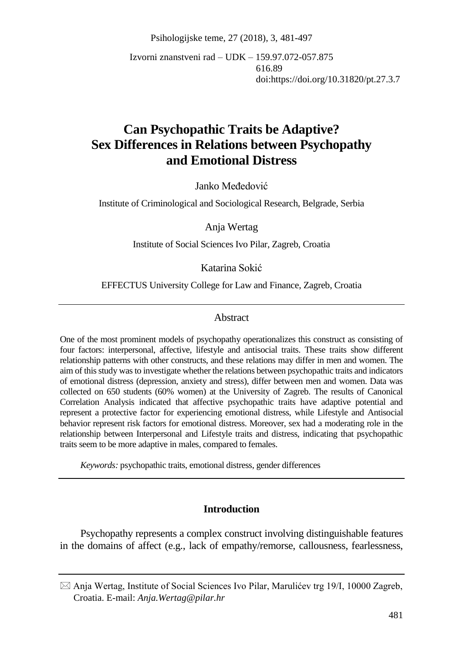Psihologijske teme, 27 (2018), 3, 481-497

Izvorni znanstveni rad – UDK – 159.97.072-057.875 616.89 doi:https://doi.org/10.31820/pt.27.3.7

# **Can Psychopathic Traits be Adaptive? Sex Differences in Relations between Psychopathy and Emotional Distress**

Janko Međedović

Institute of Criminological and Sociological Research, Belgrade, Serbia

Anja Wertag

Institute of Social Sciences Ivo Pilar, Zagreb, Croatia

Katarina Sokić

EFFECTUS University College for Law and Finance, Zagreb, Croatia

#### Abstract

One of the most prominent models of psychopathy operationalizes this construct as consisting of four factors: interpersonal, affective, lifestyle and antisocial traits. These traits show different relationship patterns with other constructs, and these relations may differ in men and women. The aim of this study was to investigate whether the relations between psychopathic traits and indicators of emotional distress (depression, anxiety and stress), differ between men and women. Data was collected on 650 students (60% women) at the University of Zagreb. The results of Canonical Correlation Analysis indicated that affective psychopathic traits have adaptive potential and represent a protective factor for experiencing emotional distress, while Lifestyle and Antisocial behavior represent risk factors for emotional distress. Moreover, sex had a moderating role in the relationship between Interpersonal and Lifestyle traits and distress, indicating that psychopathic traits seem to be more adaptive in males, compared to females.

*Keywords:* psychopathic traits, emotional distress, gender differences

#### **Introduction**

Psychopathy represents a complex construct involving distinguishable features in the domains of affect (e.g., lack of empathy/remorse, callousness, fearlessness,

 $\boxtimes$  Anja Wertag, Institute of Social Sciences Ivo Pilar, Marulićev trg 19/I, 10000 Zagreb, Croatia. E-mail: *Anja.Wertag@pilar.hr*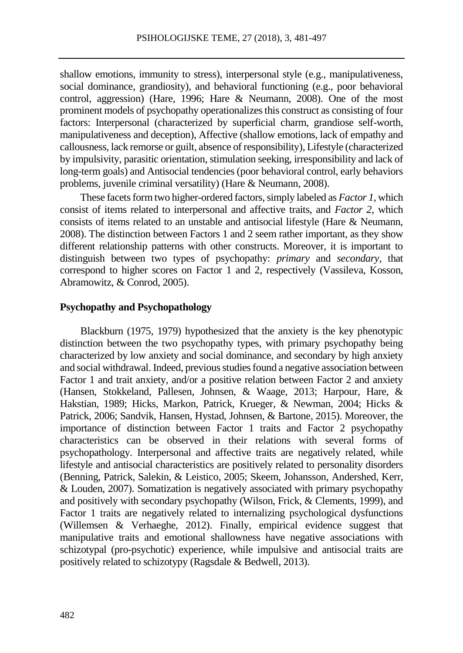shallow emotions, immunity to stress), interpersonal style (e.g., manipulativeness, social dominance, grandiosity), and behavioral functioning (e.g., poor behavioral control, aggression) (Hare, 1996; Hare & Neumann, 2008). One of the most prominent models of psychopathy operationalizes this construct as consisting of four factors: Interpersonal (characterized by superficial charm, grandiose self-worth, manipulativeness and deception), Affective (shallow emotions, lack of empathy and callousness, lack remorse or guilt, absence of responsibility), Lifestyle (characterized by impulsivity, parasitic orientation, stimulation seeking, irresponsibility and lack of long-term goals) and Antisocial tendencies (poor behavioral control, early behaviors problems, juvenile criminal versatility) (Hare & Neumann, 2008).

These facets form two higher-ordered factors, simply labeled as *Factor 1*, which consist of items related to interpersonal and affective traits, and *Factor 2*, which consists of items related to an unstable and antisocial lifestyle (Hare & Neumann, 2008). The distinction between Factors 1 and 2 seem rather important, as they show different relationship patterns with other constructs. Moreover, it is important to distinguish between two types of psychopathy: *primary* and *secondary*, that correspond to higher scores on Factor 1 and 2, respectively (Vassileva, Kosson, Abramowitz, & Conrod, 2005).

#### **Psychopathy and Psychopathology**

Blackburn (1975, 1979) hypothesized that the anxiety is the key phenotypic distinction between the two psychopathy types, with primary psychopathy being characterized by low anxiety and social dominance, and secondary by high anxiety and social withdrawal. Indeed, previous studies found a negative association between Factor 1 and trait anxiety, and/or a positive relation between Factor 2 and anxiety (Hansen, Stokkeland, Pallesen, Johnsen, & Waage, 2013; Harpour, Hare, & Hakstian, 1989; Hicks, Markon, Patrick, Krueger, & Newman, 2004; Hicks & Patrick, 2006; Sandvik, Hansen, Hystad, Johnsen, & Bartone, 2015). Moreover, the importance of distinction between Factor 1 traits and Factor 2 psychopathy characteristics can be observed in their relations with several forms of psychopathology. Interpersonal and affective traits are negatively related, while lifestyle and antisocial characteristics are positively related to personality disorders (Benning, Patrick, Salekin, & Leistico, 2005; Skeem, Johansson, Andershed, Kerr, & Louden, 2007). Somatization is negatively associated with primary psychopathy and positively with secondary psychopathy (Wilson, Frick, & Clements, 1999), and Factor 1 traits are negatively related to internalizing psychological dysfunctions (Willemsen & Verhaeghe, 2012). Finally, empirical evidence suggest that manipulative traits and emotional shallowness have negative associations with schizotypal (pro-psychotic) experience, while impulsive and antisocial traits are positively related to schizotypy (Ragsdale & Bedwell, 2013).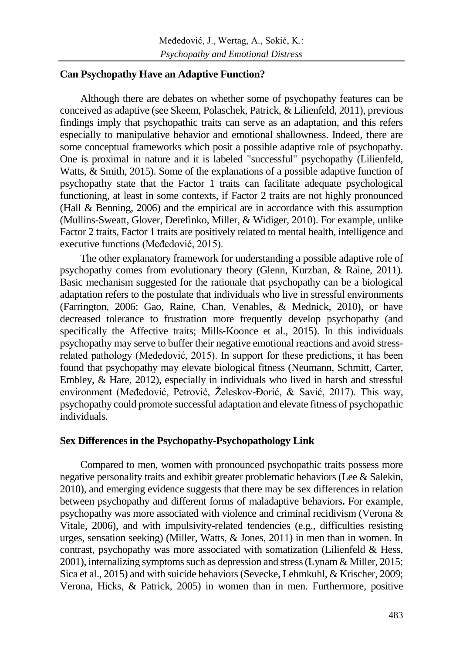#### **Can Psychopathy Have an Adaptive Function?**

Although there are debates on whether some of psychopathy features can be conceived as adaptive (see Skeem, Polaschek, Patrick, & Lilienfeld, 2011), previous findings imply that psychopathic traits can serve as an adaptation, and this refers especially to manipulative behavior and emotional shallowness. Indeed, there are some conceptual frameworks which posit a possible adaptive role of psychopathy. One is proximal in nature and it is labeled "successful" psychopathy (Lilienfeld, Watts, & Smith, 2015). Some of the explanations of a possible adaptive function of psychopathy state that the Factor 1 traits can facilitate adequate psychological functioning, at least in some contexts, if Factor 2 traits are not highly pronounced (Hall & Benning, 2006) and the empirical are in accordance with this assumption (Mullins-Sweatt, Glover, Derefinko, Miller, & Widiger, 2010). For example, unlike Factor 2 traits, Factor 1 traits are positively related to mental health, intelligence and executive functions (Međedović, 2015).

The other explanatory framework for understanding a possible adaptive role of psychopathy comes from evolutionary theory (Glenn, Kurzban, & Raine, 2011). Basic mechanism suggested for the rationale that psychopathy can be a biological adaptation refers to the postulate that individuals who live in stressful environments (Farrington, 2006; Gao, Raine, Chan, Venables, & Mednick, 2010), or have decreased tolerance to frustration more frequently develop psychopathy (and specifically the Affective traits; Mills-Koonce et al., 2015). In this individuals psychopathy may serve to buffer their negative emotional reactions and avoid stressrelated pathology (Međedović, 2015). In support for these predictions, it has been found that psychopathy may elevate biological fitness (Neumann, Schmitt, Carter, Embley, & Hare, 2012), especially in individuals who lived in harsh and stressful environment (Međedović, Petrović, Želeskov-Đorić, & Savić, 2017). This way, psychopathy could promote successful adaptation and elevate fitness of psychopathic individuals.

#### **Sex Differences in the Psychopathy-Psychopathology Link**

Compared to men, women with pronounced psychopathic traits possess more negative personality traits and exhibit greater problematic behaviors (Lee & Salekin, 2010), and emerging evidence suggests that there may be sex differences in relation between psychopathy and different forms of maladaptive behaviors**.** For example, psychopathy was more associated with violence and criminal recidivism (Verona & Vitale, 2006), and with impulsivity-related tendencies (e.g., difficulties resisting urges, sensation seeking) (Miller, Watts, & Jones, 2011) in men than in women. In contrast, psychopathy was more associated with somatization (Lilienfeld & Hess, 2001), internalizing symptoms such as depression and stress (Lynam & Miller, 2015; Sica et al., 2015) and with suicide behaviors (Sevecke, Lehmkuhl, & Krischer, 2009; Verona, Hicks, & Patrick, 2005) in women than in men. Furthermore, positive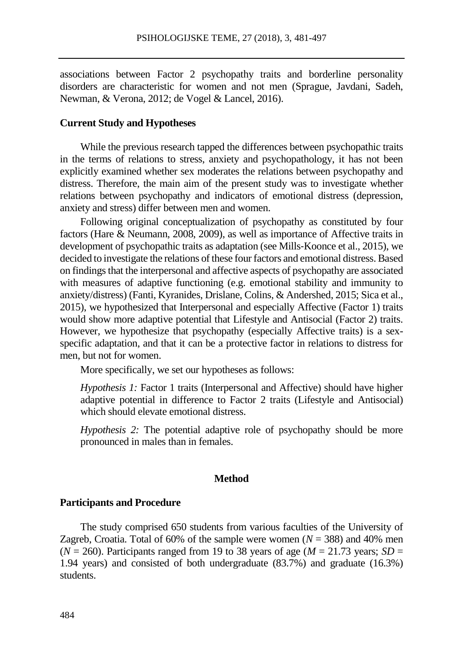associations between Factor 2 psychopathy traits and borderline personality disorders are characteristic for women and not men (Sprague, Javdani, Sadeh, Newman, & Verona, 2012; de Vogel & Lancel, 2016).

#### **Current Study and Hypotheses**

While the previous research tapped the differences between psychopathic traits in the terms of relations to stress, anxiety and psychopathology, it has not been explicitly examined whether sex moderates the relations between psychopathy and distress. Therefore, the main aim of the present study was to investigate whether relations between psychopathy and indicators of emotional distress (depression, anxiety and stress) differ between men and women.

Following original conceptualization of psychopathy as constituted by four factors (Hare & Neumann, 2008, 2009), as well as importance of Affective traits in development of psychopathic traits as adaptation (see Mills‐Koonce et al., 2015), we decided to investigate the relations of these four factors and emotional distress. Based on findings that the interpersonal and affective aspects of psychopathy are associated with measures of adaptive functioning (e.g. emotional stability and immunity to anxiety/distress) (Fanti, Kyranides, Drislane, Colins, & Andershed, 2015; Sica et al., 2015), we hypothesized that Interpersonal and especially Affective (Factor 1) traits would show more adaptive potential that Lifestyle and Antisocial (Factor 2) traits. However, we hypothesize that psychopathy (especially Affective traits) is a sexspecific adaptation, and that it can be a protective factor in relations to distress for men, but not for women.

More specifically, we set our hypotheses as follows:

*Hypothesis 1:* Factor 1 traits (Interpersonal and Affective) should have higher adaptive potential in difference to Factor 2 traits (Lifestyle and Antisocial) which should elevate emotional distress.

*Hypothesis 2:* The potential adaptive role of psychopathy should be more pronounced in males than in females.

#### **Method**

#### **Participants and Procedure**

The study comprised 650 students from various faculties of the University of Zagreb, Croatia. Total of 60% of the sample were women  $(N = 388)$  and 40% men  $(N = 260)$ . Participants ranged from 19 to 38 years of age  $(M = 21.73$  years; *SD* = 1.94 years) and consisted of both undergraduate (83.7%) and graduate (16.3%) students.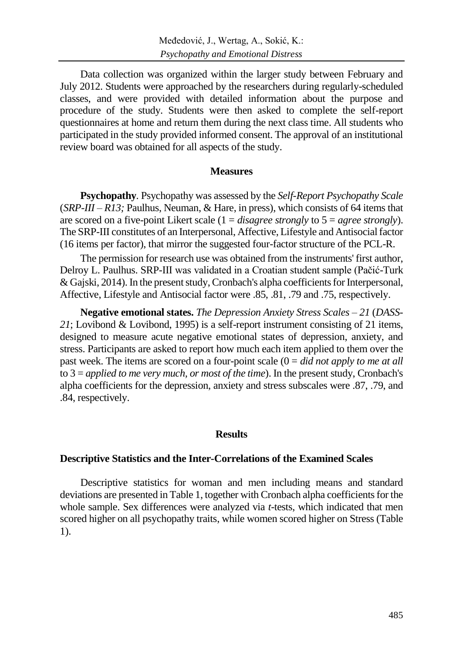Data collection was organized within the larger study between February and July 2012. Students were approached by the researchers during regularly-scheduled classes, and were provided with detailed information about the purpose and procedure of the study. Students were then asked to complete the self-report questionnaires at home and return them during the next class time. All students who participated in the study provided informed consent. The approval of an institutional review board was obtained for all aspects of the study.

#### **Measures**

**Psychopathy***.* Psychopathy was assessed by the *Self-Report Psychopathy Scale* (*SRP-III – R13;* Paulhus, Neuman, & Hare, in press), which consists of 64 items that are scored on a five-point Likert scale (1 = *disagree strongly* to 5 = *agree strongly*). The SRP-III constitutes of an Interpersonal, Affective, Lifestyle and Antisocial factor (16 items per factor), that mirror the suggested four-factor structure of the PCL-R.

The permission for research use was obtained from the instruments' first author, Delroy L. Paulhus. SRP-III was validated in a Croatian student sample (Pačić-Turk & Gajski, 2014). In the present study, Cronbach's alpha coefficients for Interpersonal, Affective, Lifestyle and Antisocial factor were .85, .81, .79 and .75, respectively.

**Negative emotional states.** *The Depression Anxiety Stress Scales – 21* (*DASS-21*; Lovibond & Lovibond, 1995) is a self-report instrument consisting of 21 items, designed to measure acute negative emotional states of depression, anxiety, and stress. Participants are asked to report how much each item applied to them over the past week. The items are scored on a four-point scale (0 = *did not apply to me at all* to 3 = *applied to me very much, or most of the time*). In the present study, Cronbach's alpha coefficients for the depression, anxiety and stress subscales were .87, .79, and .84, respectively.

#### **Results**

#### **Descriptive Statistics and the Inter-Correlations of the Examined Scales**

Descriptive statistics for woman and men including means and standard deviations are presented in Table 1, together with Cronbach alpha coefficients for the whole sample. Sex differences were analyzed via *t*-tests, which indicated that men scored higher on all psychopathy traits, while women scored higher on Stress (Table 1).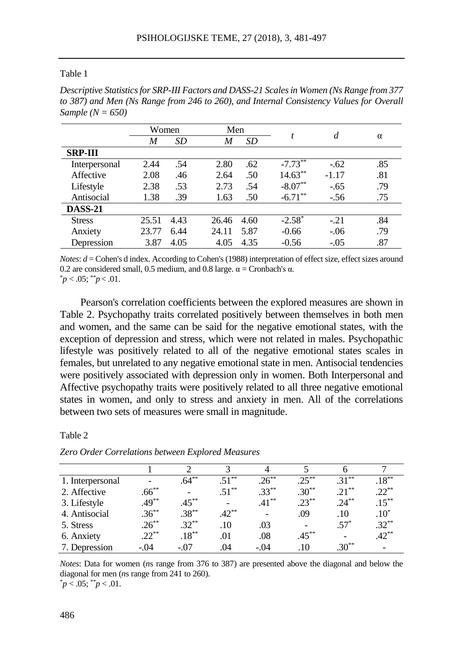#### Table 1

*Descriptive Statistics for SRP-III Factors and DASS-21 Scales in Women (Ns Range from 377 to 387) and Men (Ns Range from 246 to 260), and Internal Consistency Values for Overall Sample (N = 650)*

|                | Women |      |       | Men       |            | d       |          |
|----------------|-------|------|-------|-----------|------------|---------|----------|
|                | M     | SD   | M     | <b>SD</b> | t          |         | $\alpha$ |
| <b>SRP-III</b> |       |      |       |           |            |         |          |
| Interpersonal  | 2.44  | .54  | 2.80  | .62       | $-7.73***$ | $-.62$  | .85      |
| Affective      | 2.08  | .46  | 2.64  | .50       | $14.63***$ | $-1.17$ | .81      |
| Lifestyle      | 2.38  | .53  | 2.73  | .54       | $-8.07**$  | $-.65$  | .79      |
| Antisocial     | 1.38  | .39  | 1.63  | .50       | $-6.71***$ | $-.56$  | .75      |
| <b>DASS-21</b> |       |      |       |           |            |         |          |
| <b>Stress</b>  | 25.51 | 4.43 | 26.46 | 4.60      | $-2.58^*$  | $-.21$  | .84      |
| Anxiety        | 23.77 | 6.44 | 24.11 | 5.87      | $-0.66$    | $-.06$  | .79      |
| Depression     | 3.87  | 4.05 | 4.05  | 4.35      | $-0.56$    | $-.05$  | .87      |

*Notes*: *d* = Cohen's d index. According to Cohen's (1988) interpretation of effect size, effect sizes around 0.2 are considered small, 0.5 medium, and 0.8 large.  $\alpha$  = Cronbach's  $\alpha$ .

 $p < .05$ ;  $p < .01$ .

Pearson's correlation coefficients between the explored measures are shown in Table 2. Psychopathy traits correlated positively between themselves in both men and women, and the same can be said for the negative emotional states, with the exception of depression and stress, which were not related in males. Psychopathic lifestyle was positively related to all of the negative emotional states scales in females, but unrelated to any negative emotional state in men. Antisocial tendencies were positively associated with depression only in women. Both Interpersonal and Affective psychopathy traits were positively related to all three negative emotional states in women, and only to stress and anxiety in men. All of the correlations between two sets of measures were small in magnitude.

#### Table 2

| 1. Interpersonal |          | $.64***$ | $.51***$                 | $.26***$ | $.25***$  | $.31***$ | $.18***$  |
|------------------|----------|----------|--------------------------|----------|-----------|----------|-----------|
| 2. Affective     | $.66***$ |          | $.51***$                 | $.33***$ | $.30***$  | $21***$  | $22^{**}$ |
| 3. Lifestyle     | $.49***$ | $.45***$ | $\overline{\phantom{0}}$ | $.41***$ | $23^{**}$ | $.24***$ | $.15***$  |
| 4. Antisocial    | $.36***$ | $.38***$ | $.42***$                 |          | .09       | .10      | $.10*$    |
| 5. Stress        | $.26***$ | $.32***$ | .10                      | .03      |           | $.57*$   | $.32***$  |
| 6. Anxiety       | $22***$  | $.18***$ | .01                      | .08      | $.45***$  |          | $.42***$  |
| 7. Depression    | $-.04$   | $-.07$   | .04                      | $-.04$   | $.10\,$   | $.30**$  |           |

*Zero Order Correlations between Explored Measures*

*Notes*: Data for women (*n*s range from 376 to 387) are presented above the diagonal and below the diagonal for men (*n*s range from 241 to 260).

 $p < .05$ ;  $p < .01$ .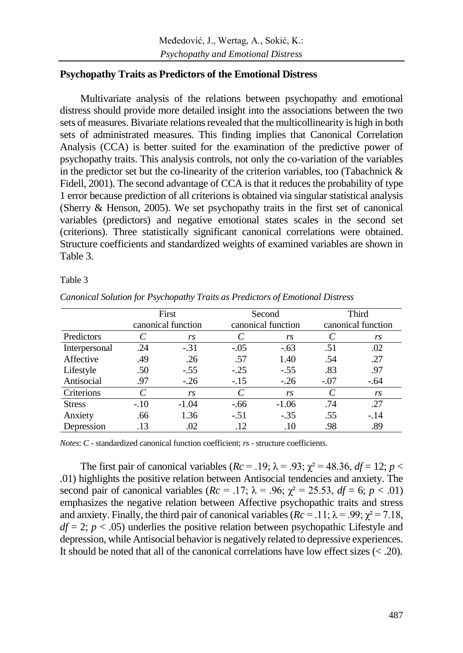# **Psychopathy Traits as Predictors of the Emotional Distress**

Multivariate analysis of the relations between psychopathy and emotional distress should provide more detailed insight into the associations between the two sets of measures. Bivariate relations revealed that the multicollinearity is high in both sets of administrated measures. This finding implies that Canonical Correlation Analysis (CCA) is better suited for the examination of the predictive power of psychopathy traits. This analysis controls, not only the co-variation of the variables in the predictor set but the co-linearity of the criterion variables, too (Tabachnick & Fidell, 2001). The second advantage of CCA is that it reduces the probability of type 1 error because prediction of all criterions is obtained via singular statistical analysis (Sherry & Henson, 2005). We set psychopathy traits in the first set of canonical variables (predictors) and negative emotional states scales in the second set (criterions). Three statistically significant canonical correlations were obtained. Structure coefficients and standardized weights of examined variables are shown in Table 3.

#### Table 3

|               | First  |                    |        | Second             | <b>Third</b>                |                    |  |
|---------------|--------|--------------------|--------|--------------------|-----------------------------|--------------------|--|
|               |        | canonical function |        | canonical function |                             | canonical function |  |
| Predictors    | C      | rs                 |        | rs                 | $\mathcal{C}_{\mathcal{C}}$ | rs                 |  |
| Interpersonal | .24    | $-.31$             | $-.05$ | $-.63$             | .51                         | .02                |  |
| Affective     | .49    | .26                | .57    | 1.40               | .54                         | .27                |  |
| Lifestyle     | .50    | $-.55$             | $-.25$ | $-.55$             | .83                         | .97                |  |
| Antisocial    | .97    | $-.26$             | $-.15$ | $-.26$             | $-.07$                      | $-.64$             |  |
| Criterions    | C      | rs                 | C      | rs                 | C                           | rs                 |  |
| <b>Stress</b> | $-.10$ | $-1.04$            | $-.66$ | $-1.06$            | .74                         | .27                |  |
| Anxiety       | .66    | 1.36               | $-.51$ | $-.35$             | .55                         | $-.14$             |  |
| Depression    | .13    | .02                | .12    | .10                | .98                         | .89                |  |

*Canonical Solution for Psychopathy Traits as Predictors of Emotional Distress*

*Notes*: *C* - standardized canonical function coefficient; *rs* - structure coefficients.

The first pair of canonical variables ( $Rc = .19$ ;  $\lambda = .93$ ;  $\chi^2 = 48.36$ ,  $df = 12$ ;  $p <$ .01) highlights the positive relation between Antisocial tendencies and anxiety. The second pair of canonical variables ( $Rc = .17$ ;  $\lambda = .96$ ;  $\chi^2 = 25.53$ ,  $df = 6$ ;  $p < .01$ ) emphasizes the negative relation between Affective psychopathic traits and stress and anxiety. Finally, the third pair of canonical variables  $(Re = .11; \lambda = .99; \chi^2 = 7.18,$  $df = 2$ ;  $p < .05$ ) underlies the positive relation between psychopathic Lifestyle and depression, while Antisocial behavior is negatively related to depressive experiences. It should be noted that all of the canonical correlations have low effect sizes  $\left\langle \langle 20 \rangle \right\rangle$ .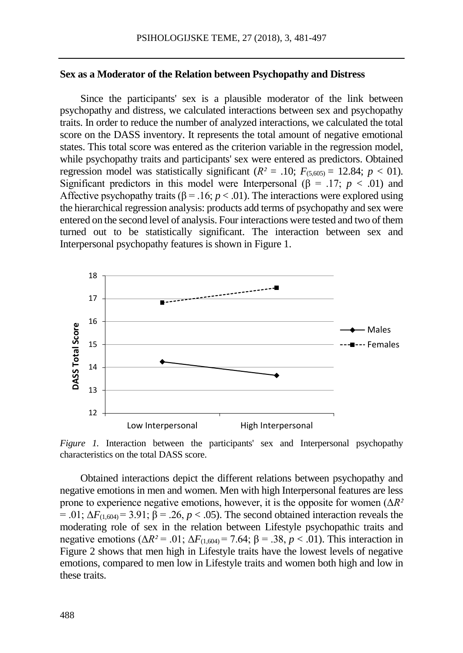#### **Sex as a Moderator of the Relation between Psychopathy and Distress**

Since the participants' sex is a plausible moderator of the link between psychopathy and distress, we calculated interactions between sex and psychopathy traits. In order to reduce the number of analyzed interactions, we calculated the total score on the DASS inventory. It represents the total amount of negative emotional states. This total score was entered as the criterion variable in the regression model, while psychopathy traits and participants' sex were entered as predictors. Obtained regression model was statistically significant ( $R^2$  = .10;  $F_{(5,605)}$  = 12.84;  $p < 01$ ). Significant predictors in this model were Interpersonal ( $\beta$  = .17; *p* < .01) and Affective psychopathy traits ( $\beta$  = .16; *p* < .01). The interactions were explored using the hierarchical regression analysis: products add terms of psychopathy and sex were entered on the second level of analysis. Four interactions were tested and two of them turned out to be statistically significant. The interaction between sex and Interpersonal psychopathy features is shown in Figure 1.



*Figure 1.* Interaction between the participants' sex and Interpersonal psychopathy characteristics on the total DASS score.

Obtained interactions depict the different relations between psychopathy and negative emotions in men and women. Men with high Interpersonal features are less prone to experience negative emotions, however, it is the opposite for women (Δ*R²*   $= .01$ ;  $\Delta F_{(1,604)} = 3.91$ ;  $\beta = .26$ ,  $p < .05$ ). The second obtained interaction reveals the moderating role of sex in the relation between Lifestyle psychopathic traits and negative emotions ( $\Delta R^2$  = .01;  $\Delta F_{(1,604)}$  = 7.64;  $\beta$  = .38, *p* < .01). This interaction in Figure 2 shows that men high in Lifestyle traits have the lowest levels of negative emotions, compared to men low in Lifestyle traits and women both high and low in these traits.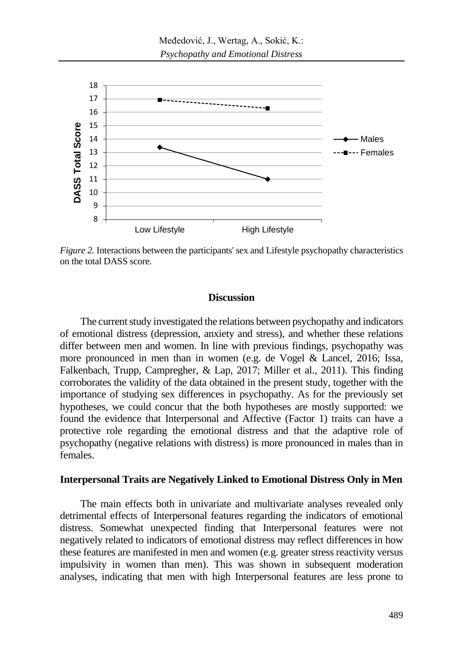

*Figure 2.* Interactions between the participants' sex and Lifestyle psychopathy characteristics on the total DASS score.

# **Discussion**

The current study investigated the relations between psychopathy and indicators of emotional distress (depression, anxiety and stress), and whether these relations differ between men and women. In line with previous findings, psychopathy was more pronounced in men than in women (e.g. de Vogel & Lancel, 2016; Issa, Falkenbach, Trupp, Campregher, & Lap, 2017; Miller et al., 2011). This finding corroborates the validity of the data obtained in the present study, together with the importance of studying sex differences in psychopathy. As for the previously set hypotheses, we could concur that the both hypotheses are mostly supported: we found the evidence that Interpersonal and Affective (Factor 1) traits can have a protective role regarding the emotional distress and that the adaptive role of psychopathy (negative relations with distress) is more pronounced in males than in females.

#### **Interpersonal Traits are Negatively Linked to Emotional Distress Only in Men**

The main effects both in univariate and multivariate analyses revealed only detrimental effects of Interpersonal features regarding the indicators of emotional distress. Somewhat unexpected finding that Interpersonal features were not negatively related to indicators of emotional distress may reflect differences in how these features are manifested in men and women (e.g. greater stress reactivity versus impulsivity in women than men). This was shown in subsequent moderation analyses, indicating that men with high Interpersonal features are less prone to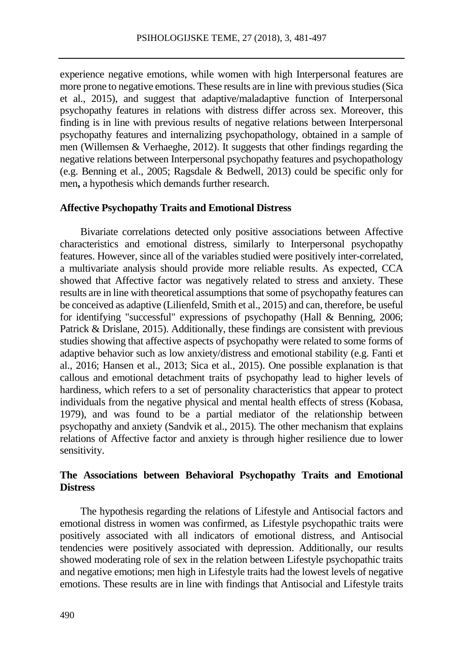experience negative emotions, while women with high Interpersonal features are more prone to negative emotions. These results are in line with previous studies (Sica et al., 2015), and suggest that adaptive/maladaptive function of Interpersonal psychopathy features in relations with distress differ across sex. Moreover, this finding is in line with previous results of negative relations between Interpersonal psychopathy features and internalizing psychopathology, obtained in a sample of men (Willemsen & Verhaeghe, 2012). It suggests that other findings regarding the negative relations between Interpersonal psychopathy features and psychopathology (e.g. Benning et al., 2005; Ragsdale & Bedwell, 2013) could be specific only for men**,** a hypothesis which demands further research.

#### **Affective Psychopathy Traits and Emotional Distress**

Bivariate correlations detected only positive associations between Affective characteristics and emotional distress, similarly to Interpersonal psychopathy features. However, since all of the variables studied were positively inter-correlated, a multivariate analysis should provide more reliable results. As expected, CCA showed that Affective factor was negatively related to stress and anxiety. These results are in line with theoretical assumptions that some of psychopathy features can be conceived as adaptive (Lilienfeld, Smith et al., 2015) and can, therefore, be useful for identifying "successful" expressions of psychopathy (Hall & Benning, 2006; Patrick & Drislane, 2015). Additionally, these findings are consistent with previous studies showing that affective aspects of psychopathy were related to some forms of adaptive behavior such as low anxiety/distress and emotional stability (e.g. Fanti et al., 2016; Hansen et al., 2013; Sica et al., 2015). One possible explanation is that callous and emotional detachment traits of psychopathy lead to higher levels of hardiness, which refers to a set of personality characteristics that appear to protect individuals from the negative physical and mental health effects of stress (Kobasa, 1979), and was found to be a partial mediator of the relationship between psychopathy and anxiety (Sandvik et al., 2015). The other mechanism that explains relations of Affective factor and anxiety is through higher resilience due to lower sensitivity.

# **The Associations between Behavioral Psychopathy Traits and Emotional Distress**

The hypothesis regarding the relations of Lifestyle and Antisocial factors and emotional distress in women was confirmed, as Lifestyle psychopathic traits were positively associated with all indicators of emotional distress, and Antisocial tendencies were positively associated with depression. Additionally, our results showed moderating role of sex in the relation between Lifestyle psychopathic traits and negative emotions; men high in Lifestyle traits had the lowest levels of negative emotions. These results are in line with findings that Antisocial and Lifestyle traits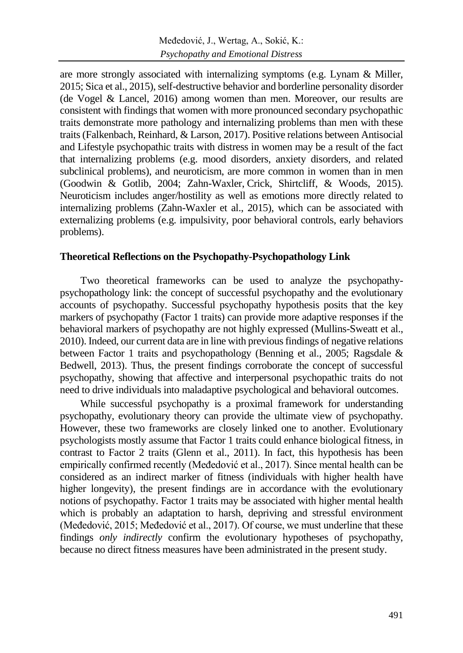are more strongly associated with internalizing symptoms (e.g. Lynam & Miller, 2015; Sica et al., 2015), self-destructive behavior and borderline personality disorder (de Vogel & Lancel, 2016) among women than men. Moreover, our results are consistent with findings that women with more pronounced secondary psychopathic traits demonstrate more pathology and internalizing problems than men with these traits (Falkenbach, Reinhard, & Larson, 2017). Positive relations between Antisocial and Lifestyle psychopathic traits with distress in women may be a result of the fact that internalizing problems (e.g. mood disorders, anxiety disorders, and related subclinical problems), and neuroticism, are more common in women than in men (Goodwin & Gotlib, 2004; Zahn-Waxler, Crick, Shirtcliff, & Woods, 2015). Neuroticism includes anger/hostility as well as emotions more directly related to internalizing problems (Zahn-Waxler et al., 2015), which can be associated with externalizing problems (e.g. impulsivity, poor behavioral controls, early behaviors problems).

### **Theoretical Reflections on the Psychopathy-Psychopathology Link**

Two theoretical frameworks can be used to analyze the psychopathypsychopathology link: the concept of successful psychopathy and the evolutionary accounts of psychopathy. Successful psychopathy hypothesis posits that the key markers of psychopathy (Factor 1 traits) can provide more adaptive responses if the behavioral markers of psychopathy are not highly expressed (Mullins-Sweatt et al., 2010). Indeed, our current data are in line with previous findings of negative relations between Factor 1 traits and psychopathology (Benning et al., 2005; Ragsdale & Bedwell, 2013). Thus, the present findings corroborate the concept of successful psychopathy, showing that affective and interpersonal psychopathic traits do not need to drive individuals into maladaptive psychological and behavioral outcomes.

While successful psychopathy is a proximal framework for understanding psychopathy, evolutionary theory can provide the ultimate view of psychopathy. However, these two frameworks are closely linked one to another. Evolutionary psychologists mostly assume that Factor 1 traits could enhance biological fitness, in contrast to Factor 2 traits (Glenn et al., 2011). In fact, this hypothesis has been empirically confirmed recently (Međedović et al., 2017). Since mental health can be considered as an indirect marker of fitness (individuals with higher health have higher longevity), the present findings are in accordance with the evolutionary notions of psychopathy. Factor 1 traits may be associated with higher mental health which is probably an adaptation to harsh, depriving and stressful environment (Međedović, 2015; Međedović et al., 2017). Of course, we must underline that these findings *only indirectly* confirm the evolutionary hypotheses of psychopathy, because no direct fitness measures have been administrated in the present study.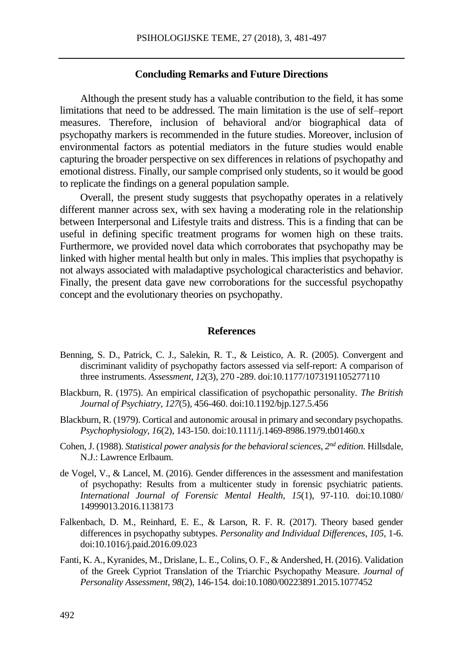#### **Concluding Remarks and Future Directions**

Although the present study has a valuable contribution to the field, it has some limitations that need to be addressed. The main limitation is the use of self–report measures. Therefore, inclusion of behavioral and/or biographical data of psychopathy markers is recommended in the future studies. Moreover, inclusion of environmental factors as potential mediators in the future studies would enable capturing the broader perspective on sex differences in relations of psychopathy and emotional distress. Finally, our sample comprised only students, so it would be good to replicate the findings on a general population sample.

Overall, the present study suggests that psychopathy operates in a relatively different manner across sex, with sex having a moderating role in the relationship between Interpersonal and Lifestyle traits and distress. This is a finding that can be useful in defining specific treatment programs for women high on these traits. Furthermore, we provided novel data which corroborates that psychopathy may be linked with higher mental health but only in males. This implies that psychopathy is not always associated with maladaptive psychological characteristics and behavior. Finally, the present data gave new corroborations for the successful psychopathy concept and the evolutionary theories on psychopathy.

#### **References**

- Benning, S. D., Patrick, C. J., Salekin, R. T., & Leistico, A. R. (2005). Convergent and discriminant validity of psychopathy factors assessed via self-report: A comparison of three instruments. *Assessment, 12*(3)*,* 270 -289. doi:10.1177/1073191105277110
- Blackburn, R. (1975). An empirical classification of psychopathic personality. *The British Journal of Psychiatry, 127*(5), 456-460. doi:10.1192/bjp.127.5.456
- Blackburn, R. (1979). Cortical and autonomic arousal in primary and secondary psychopaths. *Psychophysiology, 16*(2), 143-150. doi:10.1111/j.1469-8986.1979.tb01460.x
- Cohen, J. (1988). *Statistical power analysis for the behavioral sciences*, *2 nd edition.* Hillsdale, N.J.: Lawrence Erlbaum.
- de Vogel, V., & Lancel, M. (2016). Gender differences in the assessment and manifestation of psychopathy: Results from a multicenter study in forensic psychiatric patients. *International Journal of Forensic Mental Health*, *15*(1)*,* 97-110. doi:10.1080/ 14999013.2016.1138173
- Falkenbach, D. M., Reinhard, E. E., & Larson, R. F. R. (2017). [Theory based gender](http://dx.doi.org/10.1016/j.paid.2016.09.023)  [differences in psychopathy subtypes.](http://dx.doi.org/10.1016/j.paid.2016.09.023) *Personality and Individual Differences*, *105*, 1-6. doi:10.1016/j.paid.2016.09.023
- Fanti, K. A., Kyranides, M., Drislane, L. E., Colins, O. F., & Andershed, H. (2016). Validation of the Greek Cypriot Translation of the Triarchic Psychopathy Measure. *Journal of Personality Assessment*, *98*(2), 146-154*.* doi:10.1080/00223891.2015.1077452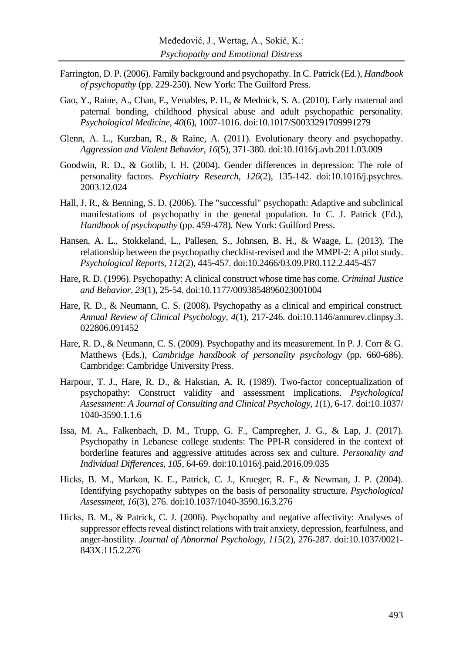- Farrington, D. P. (2006). Family background and psychopathy. In C. Patrick (Ed.), *Handbook of psychopathy* (pp. 229-250). New York: The Guilford Press.
- Gao, Y., Raine, A., Chan, F., Venables, P. H., & Mednick, S. A. (2010). Early maternal and paternal bonding, childhood physical abuse and adult psychopathic personality. *Psychological Medicine, 40*(6), 1007-1016. doi:10.1017/S0033291709991279
- Glenn, A. L., Kurzban, R., & Raine, A. (2011). Evolutionary theory and psychopathy. *Aggression and Violent Behavior*, *16*(5), 371-380. doi:10.1016/j.avb.2011.03.009
- Goodwin, R. D., & Gotlib, I. H. (2004). Gender differences in depression: The role of personality factors. *Psychiatry Research, 126*(2)*,* 135-142. doi:10.1016/j.psychres. 2003.12.024
- Hall, J. R., & Benning, S. D. (2006). The "successful" psychopath: Adaptive and subclinical manifestations of psychopathy in the general population. In C. J. Patrick (Ed.), *Handbook of psychopathy* (pp. 459-478). New York: Guilford Press.
- Hansen, A. L., Stokkeland, L., Pallesen, S., Johnsen, B. H., & Waage, L. (2013). The relationship between the psychopathy checklist-revised and the MMPI-2: A pilot study. *Psychological Reports, 112*(2), 445-457. doi:10.2466/03.09.PR0.112.2.445-457
- Hare, R. D. (1996). Psychopathy: A clinical construct whose time has come. *Criminal Justice and Behavior, 23*(1), 25-54. doi:10.1177/0093854896023001004
- Hare, R. D., & Neumann, C. S. (2008). Psychopathy as a clinical and empirical construct. *Annual Review of Clinical Psychology, 4*(1)*,* 217-246. doi:10.1146/annurev.clinpsy.3. 022806.091452
- Hare, R. D., & Neumann, C. S. (2009). Psychopathy and its measurement. In P. J. Corr & G. Matthews (Eds.), *Cambridge handbook of personality psychology* (pp. 660-686). Cambridge: Cambridge University Press.
- Harpour, T. J., Hare, R. D., & Hakstian, A. R. (1989). Two-factor conceptualization of psychopathy: Construct validity and assessment implications. *Psychological Assessment: A Journal of Consulting and Clinical Psychology, 1*(1), 6-17. doi:10.1037/ 1040-3590.1.1.6
- Issa, M. A., Falkenbach, D. M., Trupp, G. F., Campregher, J. G., & Lap, J. (2017). Psychopathy in Lebanese college students: The PPI-R considered in the context of borderline features and aggressive attitudes across sex and culture. *Personality and Individual Differences, 105,* 64-69. doi:10.1016/j.paid.2016.09.035
- Hicks, B. M., Markon, K. E., Patrick, C. J., Krueger, R. F., & Newman, J. P. (2004). Identifying psychopathy subtypes on the basis of personality structure. *Psychological Assessment, 16*(3), 276. doi:10.1037/1040-3590.16.3.276
- Hicks, B. M., & Patrick, C. J. (2006). Psychopathy and negative affectivity: Analyses of suppressor effects reveal distinct relations with trait anxiety, depression, fearfulness, and anger-hostility. *Journal of Abnormal Psychology, 115*(2), 276-287. doi:10.1037/0021- 843X.115.2.276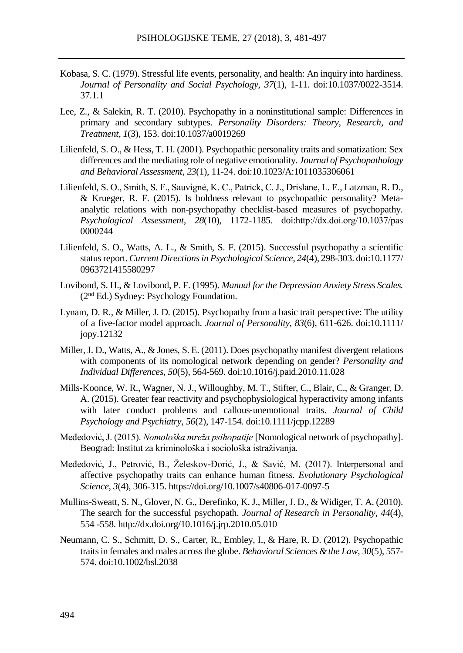- Kobasa, S. C. (1979). Stressful life events, personality, and health: An inquiry into hardiness. *Journal of Personality and Social Psychology*, *37*(1), 1-11. doi:10.1037/0022-3514. 37.1.1
- Lee, Z., & Salekin, R. T. (2010). Psychopathy in a noninstitutional sample: Differences in primary and secondary subtypes. *Personality Disorders: Theory, Research, and Treatment, 1*(3), 153. doi:10.1037/a0019269
- Lilienfeld, S. O., & Hess, T. H. (2001). Psychopathic personality traits and somatization: Sex differences and the mediating role of negative emotionality. *Journal of Psychopathology and Behavioral Assessment, 23*(1), 11-24. doi:10.1023/A:1011035306061
- Lilienfeld, S. O., Smith, S. F., Sauvigné, K. C., Patrick, C. J., Drislane, L. E., Latzman, R. D., & Krueger, R. F. (2015). Is boldness relevant to psychopathic personality? Metaanalytic relations with non-psychopathy checklist-based measures of psychopathy. *Psychological Assessment, 28*(10), 1172-1185. doi:http://dx.doi.org/10.1037/pas 0000244
- Lilienfeld, S. O., Watts, A. L., & Smith, S. F. (2015). Successful psychopathy a scientific status report. *Current Directions in Psychological Science*, *24*(4), 298-303. doi:10.1177/ 0963721415580297
- Lovibond, S. H., & Lovibond, P. F. (1995). *Manual for the Depression Anxiety Stress Scales.* (2nd Ed.) Sydney: Psychology Foundation.
- Lynam, D. R., & Miller, J. D. (2015). Psychopathy from a basic trait perspective: The utility of a five-factor model approach. *Journal of Personality, 83*(6), 611-626. doi:10.1111/ jopy.12132
- Miller, J. D., Watts, A., & Jones, S. E. (2011). Does psychopathy manifest divergent relations with components of its nomological network depending on gender? *Personality and Individual Differences, 50*(5), 564-569. doi:10.1016/j.paid.2010.11.028
- Mills‐Koonce, W. R., Wagner, N. J., Willoughby, M. T., Stifter, C., Blair, C., & Granger, D. A. (2015). Greater fear reactivity and psychophysiological hyperactivity among infants with later conduct problems and callous-unemotional traits. *Journal of Child Psychology and Psychiatry, 56*(2), 147-154. doi:10.1111/jcpp.12289
- Međedović, J. (2015). *Nomološka mreža psihopatije* [Nomological network of psychopathy]. Beograd: Institut za kriminološka i sociološka istraživanja.
- Međedović, J., Petrović, B., Želeskov-Đorić, J., & Savić, M. (2017). Interpersonal and affective psychopathy traits can enhance human fitness. *Evolutionary Psychological Science*, *3*(4), 306-315. https://doi.org/10.1007/s40806-017-0097-5
- Mullins-Sweatt, S. N., Glover, N. G., Derefinko, K. J., Miller, J. D., & Widiger, T. A. (2010). The search for the successful psychopath. *Journal of Research in Personality, 44*(4)*,* 554 -558. http://dx.doi.org/10.1016/j.jrp.2010.05.010
- Neumann, C. S., Schmitt, D. S., Carter, R., Embley, I., & Hare, R. D. (2012). Psychopathic traits in females and males across the globe. *Behavioral Sciences & the Law, 30*(5)*,* 557- 574. doi:10.1002/bsl.2038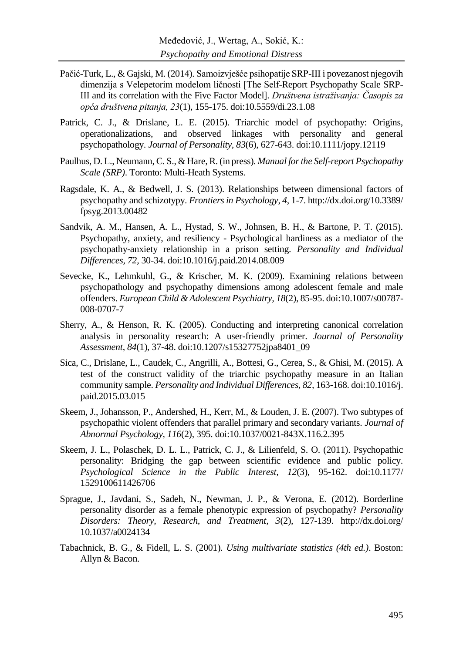- Pačić-Turk, L., & Gajski, M. (2014). Samoizvješće psihopatije SRP-III i povezanost njegovih dimenzija s Velepetorim modelom ličnosti [The Self-Report Psychopathy Scale SRP-III and its correlation with the Five Factor Model]. *Društvena istraživanja: Časopis za opća društvena pitanja, 23*(1), 155-175. doi:10.5559/di.23.1.08
- Patrick, C. J., & Drislane, L. E. (2015). Triarchic model of psychopathy: Origins, operationalizations, and observed linkages with personality and general psychopathology. *Journal of Personality, 83*(6), 627-643. doi:10.1111/jopy.12119
- Paulhus, D. L., Neumann, C. S., & Hare, R. (in press). *Manual for the Self-report Psychopathy Scale (SRP)*. Toronto: Multi-Heath Systems.
- Ragsdale, K. A., & Bedwell, J. S. (2013). Relationships between dimensional factors of psychopathy and schizotypy. *Frontiers in Psychology*, *4*, 1-7. http://dx.doi.org/10.3389/ fpsyg.2013.00482
- Sandvik, A. M., Hansen, A. L., Hystad, S. W., Johnsen, B. H., & Bartone, P. T. (2015). Psychopathy, anxiety, and resiliency - Psychological hardiness as a mediator of the psychopathy-anxiety relationship in a prison setting. *Personality and Individual Differences, 72,* 30-34. do[i:10.1016/j.paid.2014.08.009](http://dx.doi.org/10.1016/j.paid.2014.08.009)
- Sevecke, K., [Lehmkuhl, G.](https://www.ncbi.nlm.nih.gov/pubmed/?term=Lehmkuhl%20G%5BAuthor%5D&cauthor=true&cauthor_uid=18807112), & [Krischer, M. K.](https://www.ncbi.nlm.nih.gov/pubmed/?term=Krischer%20MK%5BAuthor%5D&cauthor=true&cauthor_uid=18807112) (2009). Examining relations between psychopathology and psychopathy dimensions among adolescent female and male offenders. *[European Child & Adolescent Psychiatry,](http://link.springer.com/journal/787) 18*(2), 85-95. doi:10.1007/s00787- 008-0707-7
- Sherry, A., & Henson, R. K. (2005). Conducting and interpreting canonical correlation analysis in personality research: A user-friendly primer. *Journal of Personality Assessment*, *84*(1), 37-48. doi:10.1207/s15327752jpa8401\_09
- Sica, C., Drislane, L., Caudek, C., Angrilli, A., Bottesi, G., Cerea, S., & Ghisi, M. (2015). A test of the construct validity of the triarchic psychopathy measure in an Italian community sample. *Personality and Individual Differences, 82,* 163-168. do[i:10.1016/j.](http://dx.doi.org/10.1016/j.paid.2015.03.015) [paid.2015.03.015](http://dx.doi.org/10.1016/j.paid.2015.03.015)
- Skeem, J., Johansson, P., Andershed, H., Kerr, M., & Louden, J. E. (2007). Two subtypes of psychopathic violent offenders that parallel primary and secondary variants. *Journal of Abnormal Psychology, 116*(2), 395. doi:10.1037/0021-843X.116.2.395
- Skeem, J. L., Polaschek, D. L. L., Patrick, C. J., & Lilienfeld, S. O. (2011). Psychopathic personality: Bridging the gap between scientific evidence and public policy. *Psychological Science in the Public Interest, 12*(3), 95-162. doi:10.1177/ 1529100611426706
- Sprague, J., Javdani, S., Sadeh, N., Newman, J. P., & Verona, E. (2012). Borderline personality disorder as a female phenotypic expression of psychopathy? *Personality Disorders: Theory, Research, and Treatment, 3*(2)*,* 127-139. http://dx.doi.org/ 10.1037/a0024134
- Tabachnick, B. G., & Fidell, L. S. (2001). *Using multivariate statistics (4th ed.)*. Boston: Allyn & Bacon.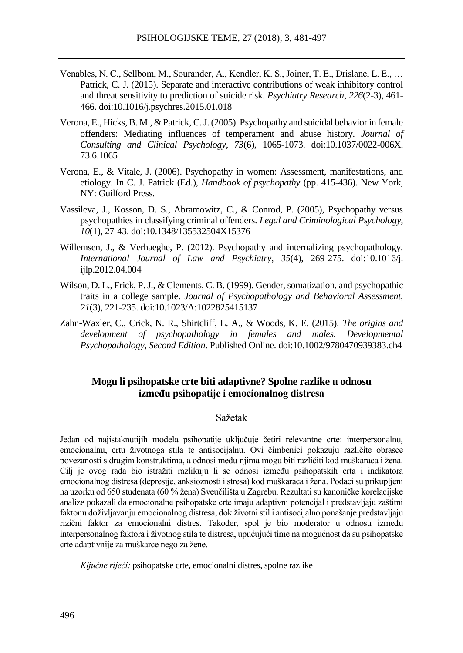- Venables, N. C., Sellbom, M., Sourander, A., Kendler, K. S., Joiner, T. E., Drislane, L. E., … Patrick, C. J. (2015). Separate and interactive contributions of weak inhibitory control and threat sensitivity to prediction of suicide risk. *Psychiatry Research*, *226*(2-3), 461- 466. doi[:10.1016/j.psychres.2015.01.018](http://doi.org/10.1016/j.psychres.2015.01.018)
- Verona, E., Hicks, B. M., & Patrick, C. J. (2005). Psychopathy and suicidal behavior in female offenders: Mediating influences of temperament and abuse history. *Journal of Consulting and Clinical Psychology, 73*(6), 1065-1073. doi:10.1037/0022-006X. 73.6.1065
- Verona, E., & Vitale, J. (2006). Psychopathy in women: Assessment, manifestations, and etiology. In C. J. Patrick (Ed.), *Handbook of psychopathy* (pp. 415-436). New York, NY: Guilford Press.
- Vassileva, J., Kosson, D. S., Abramowitz, C., & Conrod, P. (2005), Psychopathy versus psychopathies in classifying criminal offenders. *Legal and Criminological Psychology, 10*(1)*,* 27-43. doi:10.1348/135532504X15376
- Willemsen, J., & Verhaeghe, P. (2012). Psychopathy and internalizing psychopathology. *International Journal of Law and Psychiatry*, *35*(4), 269-275. do[i:10.1016/j.](http://dx.doi.org/10.1016/j.ijlp.2012.04.004) iilp.2012.04.004
- Wilson, D. L., Frick, P. J., & Clements, C. B. (1999). Gender, somatization, and psychopathic traits in a college sample. *Journal of Psychopathology and Behavioral Assessment, 21*(3), 221-235. doi:10.1023/A:1022825415137
- Zahn-Waxler, C., Crick, N. R., Shirtcliff, E. A., & Woods, K. E. (2015). *The origins and development of psychopathology in females and males. Developmental Psychopathology, Second Edition*. Published Online. doi:10.1002/9780470939383.ch4

# **Mogu li psihopatske crte biti adaptivne? Spolne razlike u odnosu između psihopatije i emocionalnog distresa**

#### Sažetak

Jedan od najistaknutijih modela psihopatije uključuje četiri relevantne crte: interpersonalnu, emocionalnu, crtu životnoga stila te antisocijalnu. Ovi čimbenici pokazuju različite obrasce povezanosti s drugim konstruktima, a odnosi među njima mogu biti različiti kod muškaraca i žena. Cilj je ovog rada bio istražiti razlikuju li se odnosi između psihopatskih crta i indikatora emocionalnog distresa (depresije, anksioznosti i stresa) kod muškaraca i žena. Podaci su prikupljeni na uzorku od 650 studenata (60 % žena) Sveučilišta u Zagrebu. Rezultati su kanoničke korelacijske analize pokazali da emocionalne psihopatske crte imaju adaptivni potencijal i predstavljaju zaštitni faktor u doživljavanju emocionalnog distresa, dok životni stil i antisocijalno ponašanje predstavljaju rizični faktor za emocionalni distres. Također, spol je bio moderator u odnosu između interpersonalnog faktora i životnog stila te distresa, upućujući time na mogućnost da su psihopatske crte adaptivnije za muškarce nego za žene.

*Ključne riječi:* psihopatske crte, emocionalni distres, spolne razlike